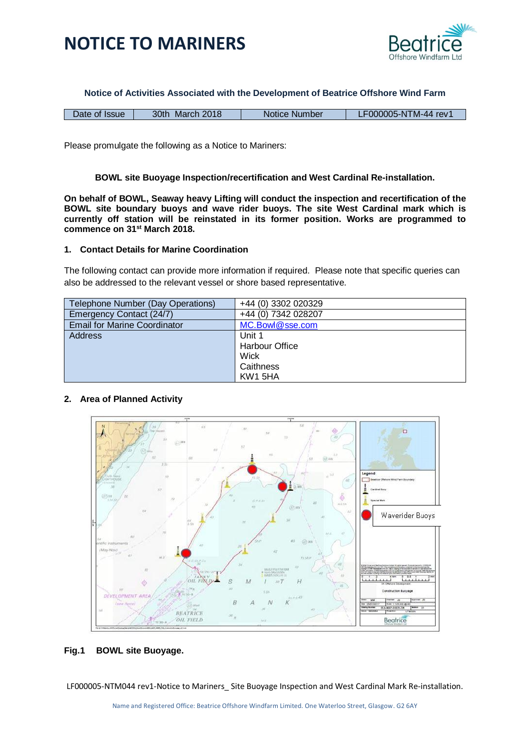



**Notice of Activities Associated with the Development of Beatrice Offshore Wind Farm**

| Date of Issue | March 2018<br>30th | Notice Number |  |
|---------------|--------------------|---------------|--|

Please promulgate the following as a Notice to Mariners:

### **BOWL site Buoyage Inspection/recertification and West Cardinal Re-installation.**

**On behalf of BOWL, Seaway heavy Lifting will conduct the inspection and recertification of the BOWL site boundary buoys and wave rider buoys. The site West Cardinal mark which is currently off station will be reinstated in its former position. Works are programmed to commence on 31st March 2018.**

#### **1. Contact Details for Marine Coordination**

The following contact can provide more information if required. Please note that specific queries can also be addressed to the relevant vessel or shore based representative.

| Telephone Number (Day Operations)   | +44 (0) 3302 020329   |
|-------------------------------------|-----------------------|
| Emergency Contact (24/7)            | +44 (0) 7342 028207   |
| <b>Email for Marine Coordinator</b> | MC.Bowl@sse.com       |
| <b>Address</b>                      | Unit 1                |
|                                     | <b>Harbour Office</b> |
|                                     | Wick                  |
|                                     | Caithness             |
|                                     | KW1 5HA               |

## **2. Area of Planned Activity**



## **Fig.1 BOWL site Buoyage.**

LF000005-NTM044 rev1-Notice to Mariners\_ Site Buoyage Inspection and West Cardinal Mark Re-installation.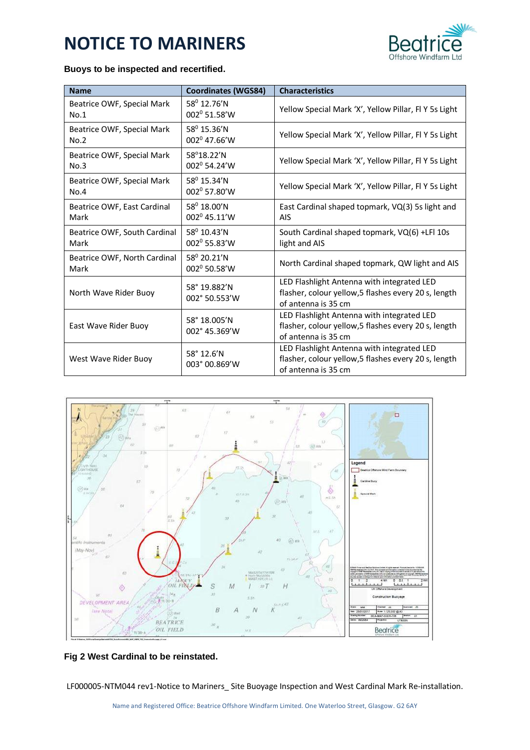# **NOTICE TO MARINERS**



## **Buoys to be inspected and recertified.**

| <b>Name</b>                          | <b>Coordinates (WGS84)</b>                       | <b>Characteristics</b>                                                                                                    |
|--------------------------------------|--------------------------------------------------|---------------------------------------------------------------------------------------------------------------------------|
| Beatrice OWF, Special Mark<br>No.1   | $58^{\circ}$ 12.76'N<br>002 <sup>0</sup> 51.58'W | Yellow Special Mark 'X', Yellow Pillar, FI Y 5s Light                                                                     |
| Beatrice OWF, Special Mark<br>No.2   | $58^0$ 15.36'N<br>002 <sup>0</sup> 47.66'W       | Yellow Special Mark 'X', Yellow Pillar, FI Y 5s Light                                                                     |
| Beatrice OWF, Special Mark<br>No.3   | 58°18.22'N<br>002 <sup>0</sup> 54.24'W           | Yellow Special Mark 'X', Yellow Pillar, FI Y 5s Light                                                                     |
| Beatrice OWF, Special Mark<br>No.4   | $58^0$ 15.34'N<br>002 <sup>0</sup> 57.80'W       | Yellow Special Mark 'X', Yellow Pillar, FI Y 5s Light                                                                     |
| Beatrice OWF, East Cardinal<br>Mark  | $58^0$ 18.00'N<br>002 <sup>0</sup> 45.11'W       | East Cardinal shaped topmark, VQ(3) 5s light and<br><b>AIS</b>                                                            |
| Beatrice OWF, South Cardinal<br>Mark | $58^0$ 10.43'N<br>002º 55.83'W                   | South Cardinal shaped topmark, VQ(6) +LFI 10s<br>light and AIS                                                            |
| Beatrice OWF, North Cardinal<br>Mark | $58^{\circ}$ 20.21'N<br>002º 50.58'W             | North Cardinal shaped topmark, QW light and AIS                                                                           |
| North Wave Rider Buoy                | 58° 19.882'N<br>002° 50.553'W                    | LED Flashlight Antenna with integrated LED<br>flasher, colour yellow, 5 flashes every 20 s, length<br>of antenna is 35 cm |
| East Wave Rider Buoy                 | 58° 18.005'N<br>002° 45.369'W                    | LED Flashlight Antenna with integrated LED<br>flasher, colour yellow, 5 flashes every 20 s, length<br>of antenna is 35 cm |
| West Wave Rider Buoy                 | 58° 12.6'N<br>003° 00.869'W                      | LED Flashlight Antenna with integrated LED<br>flasher, colour yellow,5 flashes every 20 s, length<br>of antenna is 35 cm  |



## **Fig 2 West Cardinal to be reinstated.**

LF000005-NTM044 rev1-Notice to Mariners\_ Site Buoyage Inspection and West Cardinal Mark Re-installation.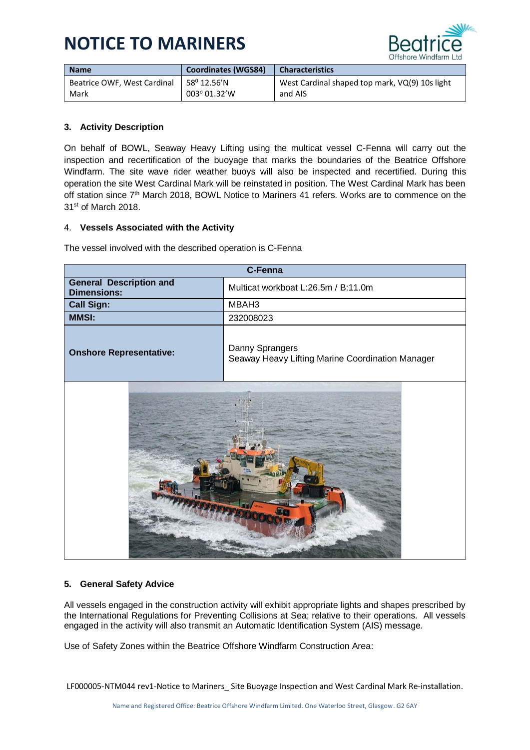# **NOTICE TO MARINERS**



| <b>Name</b>                 | <b>Coordinates (WGS84)</b>        | <b>Characteristics</b>                         |
|-----------------------------|-----------------------------------|------------------------------------------------|
| Beatrice OWF. West Cardinal | $+58^{\rm o}$ 12.56 $^{\prime}$ N | West Cardinal shaped top mark, VQ(9) 10s light |
| Mark                        | 003° 01.32'W                      | and AIS                                        |

## **3. Activity Description**

On behalf of BOWL, Seaway Heavy Lifting using the multicat vessel C-Fenna will carry out the inspection and recertification of the buoyage that marks the boundaries of the Beatrice Offshore Windfarm. The site wave rider weather buoys will also be inspected and recertified. During this operation the site West Cardinal Mark will be reinstated in position. The West Cardinal Mark has been off station since  $7<sup>th</sup>$  March 2018, BOWL Notice to Mariners 41 refers. Works are to commence on the 31st of March 2018.

## 4. **Vessels Associated with the Activity**

The vessel involved with the described operation is C-Fenna

| <b>C-Fenna</b>                                       |                                                                     |  |
|------------------------------------------------------|---------------------------------------------------------------------|--|
| <b>General Description and</b><br><b>Dimensions:</b> | Multicat workboat L:26.5m / B:11.0m                                 |  |
| <b>Call Sign:</b>                                    | MBAH3                                                               |  |
| <b>MMSI:</b>                                         | 232008023                                                           |  |
| <b>Onshore Representative:</b>                       | Danny Sprangers<br>Seaway Heavy Lifting Marine Coordination Manager |  |
|                                                      |                                                                     |  |

## **5. General Safety Advice**

All vessels engaged in the construction activity will exhibit appropriate lights and shapes prescribed by the International Regulations for Preventing Collisions at Sea; relative to their operations. All vessels engaged in the activity will also transmit an Automatic Identification System (AIS) message.

Use of Safety Zones within the Beatrice Offshore Windfarm Construction Area:

LF000005-NTM044 rev1-Notice to Mariners\_ Site Buoyage Inspection and West Cardinal Mark Re-installation.